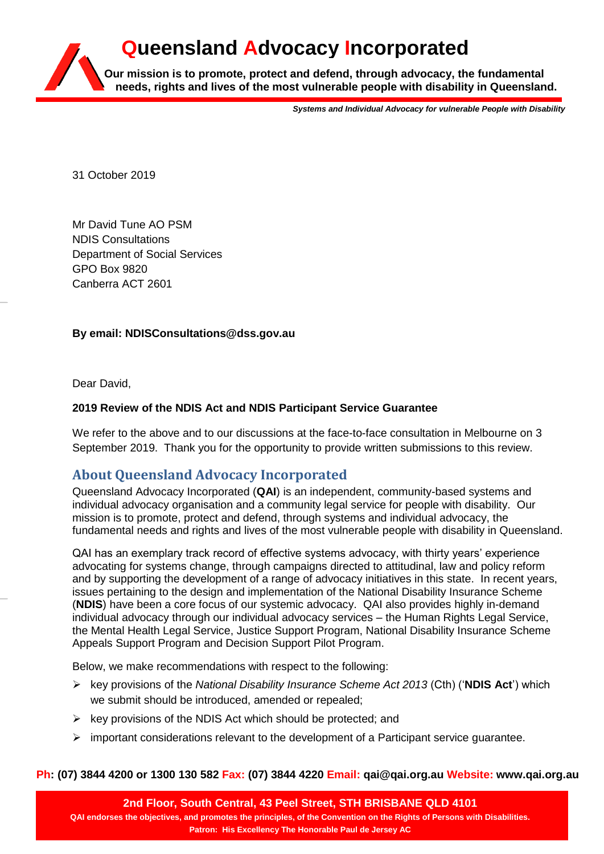# **Our mission is to promote, protect and defend, through advocacy, the fundamental needs, rights and lives of the most vulnerable people with disability in Queensland. Queensland Advocacy Incorporated**

*Systems and Individual Advocacy for vulnerable People with Disability*

31 October 2019

Mr David Tune AO PSM NDIS Consultations Department of Social Services GPO Box 9820 Canberra ACT 2601

# **By email: NDISConsultations@dss.gov.au**

Dear David,

# **2019 Review of the NDIS Act and NDIS Participant Service Guarantee**

We refer to the above and to our discussions at the face-to-face consultation in Melbourne on 3 September 2019. Thank you for the opportunity to provide written submissions to this review.

# **About Queensland Advocacy Incorporated**

Queensland Advocacy Incorporated (**QAI**) is an independent, community-based systems and individual advocacy organisation and a community legal service for people with disability. Our mission is to promote, protect and defend, through systems and individual advocacy, the fundamental needs and rights and lives of the most vulnerable people with disability in Queensland.

QAI has an exemplary track record of effective systems advocacy, with thirty years' experience advocating for systems change, through campaigns directed to attitudinal, law and policy reform and by supporting the development of a range of advocacy initiatives in this state. In recent years, issues pertaining to the design and implementation of the National Disability Insurance Scheme (**NDIS**) have been a core focus of our systemic advocacy. QAI also provides highly in-demand individual advocacy through our individual advocacy services – the Human Rights Legal Service, the Mental Health Legal Service, Justice Support Program, National Disability Insurance Scheme Appeals Support Program and Decision Support Pilot Program.

Below, we make recommendations with respect to the following:

- key provisions of the *National Disability Insurance Scheme Act 2013* (Cth) ('**NDIS Act**') which we submit should be introduced, amended or repealed;
- $\triangleright$  key provisions of the NDIS Act which should be protected; and
- $\triangleright$  important considerations relevant to the development of a Participant service guarantee.

#### **Ph: (07) 3844 4200 or 1300 130 582 Fax: (07) 3844 4220 Email: qai@qai.org.au Website: www.qai.org.au**

**2nd Floor, South Central, 43 Peel Street, STH BRISBANE QLD 4101 QAI endorses the objectives, and promotes the principles, of the Convention on the Rights of Persons with Disabilities. Patron: His Excellency The Honorable Paul de Jersey AC**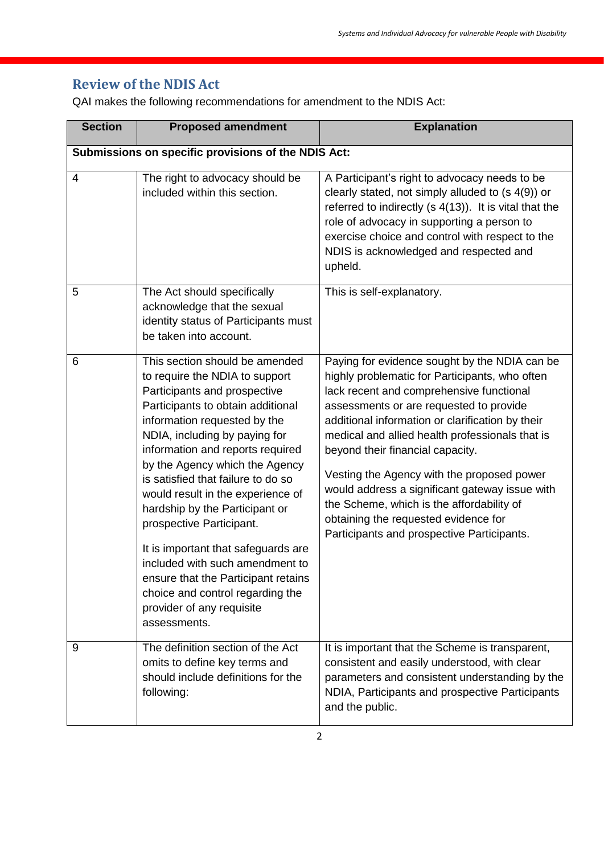# **Review of the NDIS Act**

QAI makes the following recommendations for amendment to the NDIS Act:

| <b>Section</b> | <b>Proposed amendment</b>                                                                                                                                                                                                                                                                                                                                                                                                                                                                                                                                                                                               | <b>Explanation</b>                                                                                                                                                                                                                                                                                                                                                                                                                                                                                                                                                   |
|----------------|-------------------------------------------------------------------------------------------------------------------------------------------------------------------------------------------------------------------------------------------------------------------------------------------------------------------------------------------------------------------------------------------------------------------------------------------------------------------------------------------------------------------------------------------------------------------------------------------------------------------------|----------------------------------------------------------------------------------------------------------------------------------------------------------------------------------------------------------------------------------------------------------------------------------------------------------------------------------------------------------------------------------------------------------------------------------------------------------------------------------------------------------------------------------------------------------------------|
|                | Submissions on specific provisions of the NDIS Act:                                                                                                                                                                                                                                                                                                                                                                                                                                                                                                                                                                     |                                                                                                                                                                                                                                                                                                                                                                                                                                                                                                                                                                      |
| $\overline{4}$ | The right to advocacy should be<br>included within this section.                                                                                                                                                                                                                                                                                                                                                                                                                                                                                                                                                        | A Participant's right to advocacy needs to be<br>clearly stated, not simply alluded to (s 4(9)) or<br>referred to indirectly (s 4(13)). It is vital that the<br>role of advocacy in supporting a person to<br>exercise choice and control with respect to the<br>NDIS is acknowledged and respected and<br>upheld.                                                                                                                                                                                                                                                   |
| 5              | The Act should specifically<br>acknowledge that the sexual<br>identity status of Participants must<br>be taken into account.                                                                                                                                                                                                                                                                                                                                                                                                                                                                                            | This is self-explanatory.                                                                                                                                                                                                                                                                                                                                                                                                                                                                                                                                            |
| 6              | This section should be amended<br>to require the NDIA to support<br>Participants and prospective<br>Participants to obtain additional<br>information requested by the<br>NDIA, including by paying for<br>information and reports required<br>by the Agency which the Agency<br>is satisfied that failure to do so<br>would result in the experience of<br>hardship by the Participant or<br>prospective Participant.<br>It is important that safeguards are<br>included with such amendment to<br>ensure that the Participant retains<br>choice and control regarding the<br>provider of any requisite<br>assessments. | Paying for evidence sought by the NDIA can be<br>highly problematic for Participants, who often<br>lack recent and comprehensive functional<br>assessments or are requested to provide<br>additional information or clarification by their<br>medical and allied health professionals that is<br>beyond their financial capacity.<br>Vesting the Agency with the proposed power<br>would address a significant gateway issue with<br>the Scheme, which is the affordability of<br>obtaining the requested evidence for<br>Participants and prospective Participants. |
| 9              | The definition section of the Act<br>omits to define key terms and<br>should include definitions for the<br>following:                                                                                                                                                                                                                                                                                                                                                                                                                                                                                                  | It is important that the Scheme is transparent,<br>consistent and easily understood, with clear<br>parameters and consistent understanding by the<br>NDIA, Participants and prospective Participants<br>and the public.                                                                                                                                                                                                                                                                                                                                              |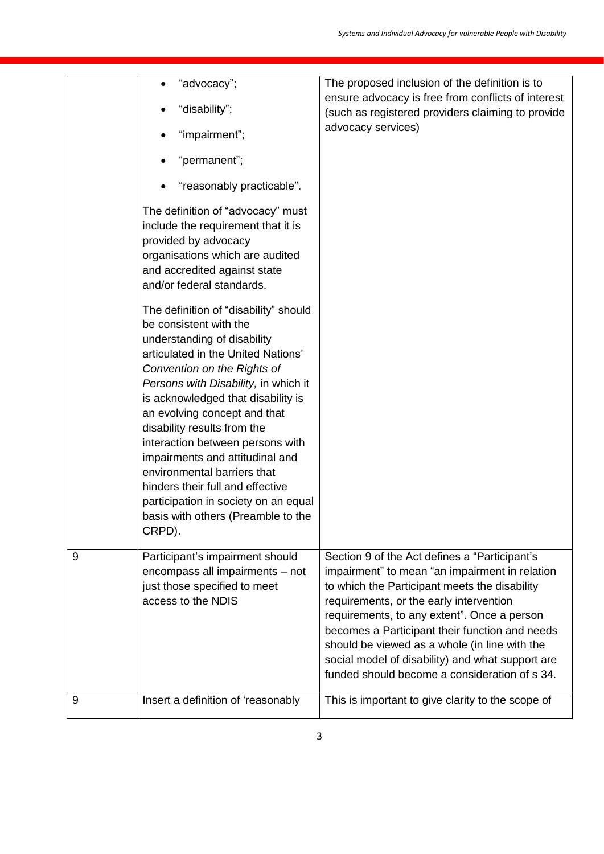|   | "advocacy";<br>"disability";<br>"impairment";<br>"permanent";<br>"reasonably practicable".<br>The definition of "advocacy" must<br>include the requirement that it is<br>provided by advocacy<br>organisations which are audited<br>and accredited against state<br>and/or federal standards.<br>The definition of "disability" should<br>be consistent with the<br>understanding of disability<br>articulated in the United Nations'<br>Convention on the Rights of<br>Persons with Disability, in which it | The proposed inclusion of the definition is to<br>ensure advocacy is free from conflicts of interest<br>(such as registered providers claiming to provide<br>advocacy services)                                                                                                                                                                                                                                                                    |
|---|--------------------------------------------------------------------------------------------------------------------------------------------------------------------------------------------------------------------------------------------------------------------------------------------------------------------------------------------------------------------------------------------------------------------------------------------------------------------------------------------------------------|----------------------------------------------------------------------------------------------------------------------------------------------------------------------------------------------------------------------------------------------------------------------------------------------------------------------------------------------------------------------------------------------------------------------------------------------------|
|   | is acknowledged that disability is<br>an evolving concept and that<br>disability results from the<br>interaction between persons with<br>impairments and attitudinal and<br>environmental barriers that<br>hinders their full and effective<br>participation in society on an equal<br>basis with others (Preamble to the<br>CRPD).                                                                                                                                                                          |                                                                                                                                                                                                                                                                                                                                                                                                                                                    |
| 9 | Participant's impairment should<br>encompass all impairments - not<br>just those specified to meet<br>access to the NDIS                                                                                                                                                                                                                                                                                                                                                                                     | Section 9 of the Act defines a "Participant's<br>impairment" to mean "an impairment in relation<br>to which the Participant meets the disability<br>requirements, or the early intervention<br>requirements, to any extent". Once a person<br>becomes a Participant their function and needs<br>should be viewed as a whole (in line with the<br>social model of disability) and what support are<br>funded should become a consideration of s 34. |
| 9 | Insert a definition of 'reasonably                                                                                                                                                                                                                                                                                                                                                                                                                                                                           | This is important to give clarity to the scope of                                                                                                                                                                                                                                                                                                                                                                                                  |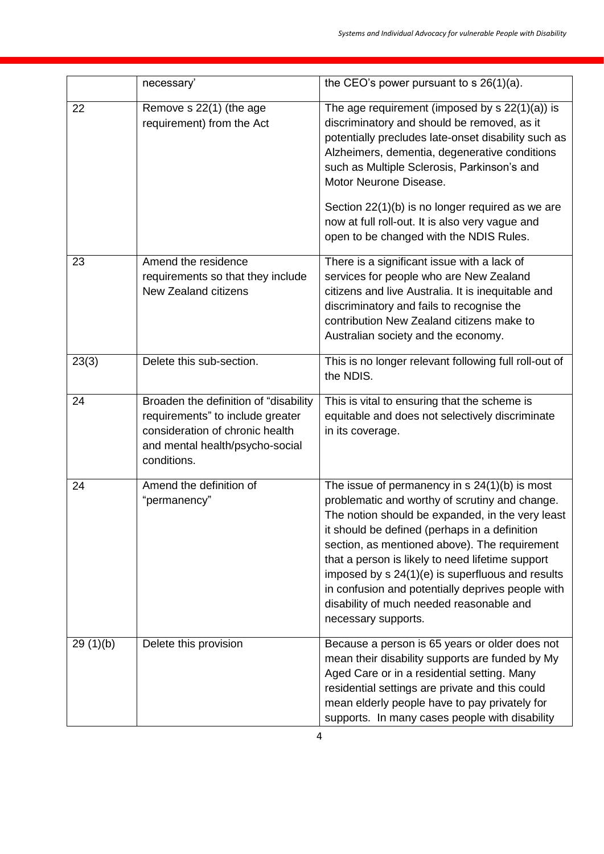|          | necessary'                                                                                                                                                     | the CEO's power pursuant to $s$ 26(1)(a).                                                                                                                                                                                                                                                                                                                                                                                                                                               |
|----------|----------------------------------------------------------------------------------------------------------------------------------------------------------------|-----------------------------------------------------------------------------------------------------------------------------------------------------------------------------------------------------------------------------------------------------------------------------------------------------------------------------------------------------------------------------------------------------------------------------------------------------------------------------------------|
| 22       | Remove s 22(1) (the age<br>requirement) from the Act                                                                                                           | The age requirement (imposed by $s 22(1)(a)$ ) is<br>discriminatory and should be removed, as it<br>potentially precludes late-onset disability such as<br>Alzheimers, dementia, degenerative conditions<br>such as Multiple Sclerosis, Parkinson's and<br>Motor Neurone Disease.<br>Section 22(1)(b) is no longer required as we are<br>now at full roll-out. It is also very vague and<br>open to be changed with the NDIS Rules.                                                     |
| 23       | Amend the residence<br>requirements so that they include<br><b>New Zealand citizens</b>                                                                        | There is a significant issue with a lack of<br>services for people who are New Zealand<br>citizens and live Australia. It is inequitable and<br>discriminatory and fails to recognise the<br>contribution New Zealand citizens make to<br>Australian society and the economy.                                                                                                                                                                                                           |
| 23(3)    | Delete this sub-section.                                                                                                                                       | This is no longer relevant following full roll-out of<br>the NDIS.                                                                                                                                                                                                                                                                                                                                                                                                                      |
| 24       | Broaden the definition of "disability<br>requirements" to include greater<br>consideration of chronic health<br>and mental health/psycho-social<br>conditions. | This is vital to ensuring that the scheme is<br>equitable and does not selectively discriminate<br>in its coverage.                                                                                                                                                                                                                                                                                                                                                                     |
| 24       | Amend the definition of<br>"permanency"                                                                                                                        | The issue of permanency in $s$ 24(1)(b) is most<br>problematic and worthy of scrutiny and change.<br>The notion should be expanded, in the very least<br>it should be defined (perhaps in a definition<br>section, as mentioned above). The requirement<br>that a person is likely to need lifetime support<br>imposed by s 24(1)(e) is superfluous and results<br>in confusion and potentially deprives people with<br>disability of much needed reasonable and<br>necessary supports. |
| 29(1)(b) | Delete this provision                                                                                                                                          | Because a person is 65 years or older does not<br>mean their disability supports are funded by My<br>Aged Care or in a residential setting. Many<br>residential settings are private and this could<br>mean elderly people have to pay privately for<br>supports. In many cases people with disability                                                                                                                                                                                  |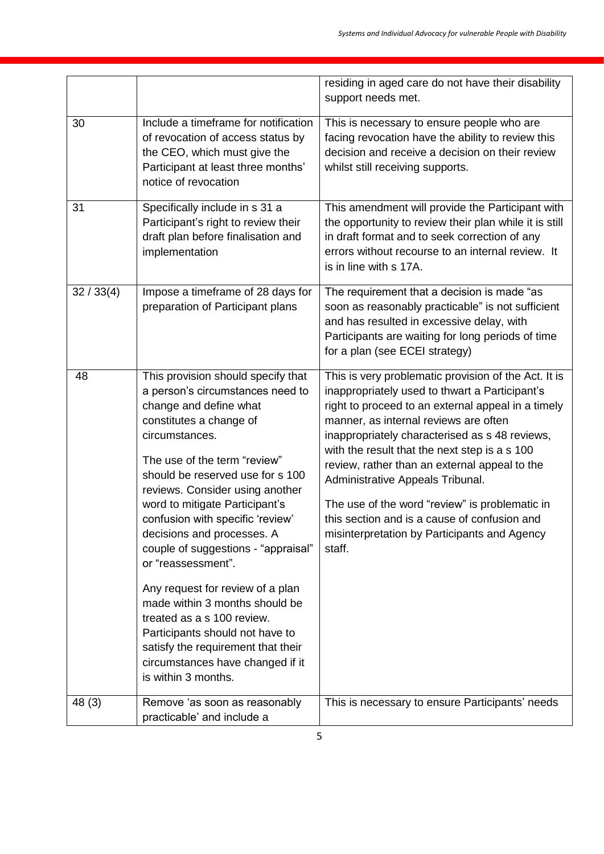|            |                                                                                                                                                                                                                                                                                                                                                                                                                                                                                                                                                                                                                                                               | residing in aged care do not have their disability<br>support needs met.                                                                                                                                                                                                                                                                                                                                                                                                                                                                                  |
|------------|---------------------------------------------------------------------------------------------------------------------------------------------------------------------------------------------------------------------------------------------------------------------------------------------------------------------------------------------------------------------------------------------------------------------------------------------------------------------------------------------------------------------------------------------------------------------------------------------------------------------------------------------------------------|-----------------------------------------------------------------------------------------------------------------------------------------------------------------------------------------------------------------------------------------------------------------------------------------------------------------------------------------------------------------------------------------------------------------------------------------------------------------------------------------------------------------------------------------------------------|
| 30         | Include a timeframe for notification<br>of revocation of access status by<br>the CEO, which must give the<br>Participant at least three months'<br>notice of revocation                                                                                                                                                                                                                                                                                                                                                                                                                                                                                       | This is necessary to ensure people who are<br>facing revocation have the ability to review this<br>decision and receive a decision on their review<br>whilst still receiving supports.                                                                                                                                                                                                                                                                                                                                                                    |
| 31         | Specifically include in s 31 a<br>Participant's right to review their<br>draft plan before finalisation and<br>implementation                                                                                                                                                                                                                                                                                                                                                                                                                                                                                                                                 | This amendment will provide the Participant with<br>the opportunity to review their plan while it is still<br>in draft format and to seek correction of any<br>errors without recourse to an internal review. It<br>is in line with s 17A.                                                                                                                                                                                                                                                                                                                |
| 32 / 33(4) | Impose a timeframe of 28 days for<br>preparation of Participant plans                                                                                                                                                                                                                                                                                                                                                                                                                                                                                                                                                                                         | The requirement that a decision is made "as<br>soon as reasonably practicable" is not sufficient<br>and has resulted in excessive delay, with<br>Participants are waiting for long periods of time<br>for a plan (see ECEI strategy)                                                                                                                                                                                                                                                                                                                      |
| 48         | This provision should specify that<br>a person's circumstances need to<br>change and define what<br>constitutes a change of<br>circumstances.<br>The use of the term "review"<br>should be reserved use for s 100<br>reviews. Consider using another<br>word to mitigate Participant's<br>confusion with specific 'review'<br>decisions and processes. A<br>couple of suggestions - "appraisal"<br>or "reassessment".<br>Any request for review of a plan<br>made within 3 months should be<br>treated as a s 100 review.<br>Participants should not have to<br>satisfy the requirement that their<br>circumstances have changed if it<br>is within 3 months. | This is very problematic provision of the Act. It is<br>inappropriately used to thwart a Participant's<br>right to proceed to an external appeal in a timely<br>manner, as internal reviews are often<br>inappropriately characterised as s 48 reviews,<br>with the result that the next step is a s 100<br>review, rather than an external appeal to the<br>Administrative Appeals Tribunal.<br>The use of the word "review" is problematic in<br>this section and is a cause of confusion and<br>misinterpretation by Participants and Agency<br>staff. |
| 48 (3)     | Remove 'as soon as reasonably<br>practicable' and include a                                                                                                                                                                                                                                                                                                                                                                                                                                                                                                                                                                                                   | This is necessary to ensure Participants' needs                                                                                                                                                                                                                                                                                                                                                                                                                                                                                                           |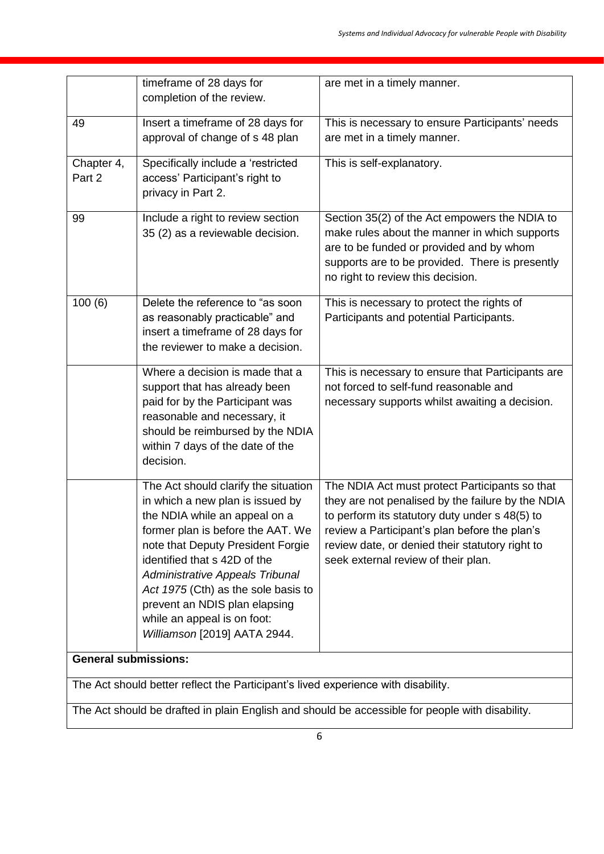|                                                                                   | timeframe of 28 days for<br>completion of the review.                                                                                                                                                                                                                                                                                                                                         | are met in a timely manner.                                                                                                                                                                                                                                                                      |
|-----------------------------------------------------------------------------------|-----------------------------------------------------------------------------------------------------------------------------------------------------------------------------------------------------------------------------------------------------------------------------------------------------------------------------------------------------------------------------------------------|--------------------------------------------------------------------------------------------------------------------------------------------------------------------------------------------------------------------------------------------------------------------------------------------------|
| 49                                                                                | Insert a timeframe of 28 days for<br>approval of change of s 48 plan                                                                                                                                                                                                                                                                                                                          | This is necessary to ensure Participants' needs<br>are met in a timely manner.                                                                                                                                                                                                                   |
| Chapter 4,<br>Part 2                                                              | Specifically include a 'restricted<br>access' Participant's right to<br>privacy in Part 2.                                                                                                                                                                                                                                                                                                    | This is self-explanatory.                                                                                                                                                                                                                                                                        |
| 99                                                                                | Include a right to review section<br>35 (2) as a reviewable decision.                                                                                                                                                                                                                                                                                                                         | Section 35(2) of the Act empowers the NDIA to<br>make rules about the manner in which supports<br>are to be funded or provided and by whom<br>supports are to be provided. There is presently<br>no right to review this decision.                                                               |
| 100(6)                                                                            | Delete the reference to "as soon<br>as reasonably practicable" and<br>insert a timeframe of 28 days for<br>the reviewer to make a decision.                                                                                                                                                                                                                                                   | This is necessary to protect the rights of<br>Participants and potential Participants.                                                                                                                                                                                                           |
|                                                                                   | Where a decision is made that a<br>support that has already been<br>paid for by the Participant was<br>reasonable and necessary, it<br>should be reimbursed by the NDIA<br>within 7 days of the date of the<br>decision.                                                                                                                                                                      | This is necessary to ensure that Participants are<br>not forced to self-fund reasonable and<br>necessary supports whilst awaiting a decision.                                                                                                                                                    |
|                                                                                   | The Act should clarify the situation<br>in which a new plan is issued by<br>the NDIA while an appeal on a<br>former plan is before the AAT. We<br>note that Deputy President Forgie<br>identified that s 42D of the<br>Administrative Appeals Tribunal<br>Act 1975 (Cth) as the sole basis to<br>prevent an NDIS plan elapsing<br>while an appeal is on foot:<br>Williamson [2019] AATA 2944. | The NDIA Act must protect Participants so that<br>they are not penalised by the failure by the NDIA<br>to perform its statutory duty under s 48(5) to<br>review a Participant's plan before the plan's<br>review date, or denied their statutory right to<br>seek external review of their plan. |
| <b>General submissions:</b>                                                       |                                                                                                                                                                                                                                                                                                                                                                                               |                                                                                                                                                                                                                                                                                                  |
| The Act should better reflect the Participant's lived experience with disability. |                                                                                                                                                                                                                                                                                                                                                                                               |                                                                                                                                                                                                                                                                                                  |

The Act should be drafted in plain English and should be accessible for people with disability.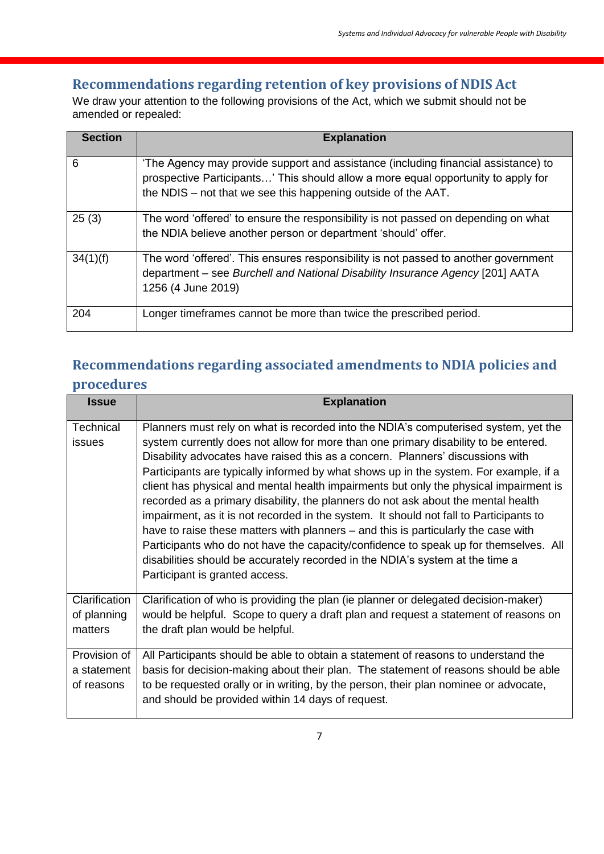# **Recommendations regarding retention of key provisions of NDIS Act**

We draw your attention to the following provisions of the Act, which we submit should not be amended or repealed:

| <b>Section</b> | <b>Explanation</b>                                                                                                                                                                                                                       |
|----------------|------------------------------------------------------------------------------------------------------------------------------------------------------------------------------------------------------------------------------------------|
|                |                                                                                                                                                                                                                                          |
| 6              | 'The Agency may provide support and assistance (including financial assistance) to<br>prospective Participants' This should allow a more equal opportunity to apply for<br>the NDIS – not that we see this happening outside of the AAT. |
| 25(3)          | The word 'offered' to ensure the responsibility is not passed on depending on what<br>the NDIA believe another person or department 'should' offer.                                                                                      |
| 34(1)(f)       | The word 'offered'. This ensures responsibility is not passed to another government<br>department – see Burchell and National Disability Insurance Agency [201] AATA<br>1256 (4 June 2019)                                               |
| 204            | Longer timeframes cannot be more than twice the prescribed period.                                                                                                                                                                       |

# **Recommendations regarding associated amendments to NDIA policies and**

# **procedures**

| <b>Issue</b>  | <b>Explanation</b>                                                                     |
|---------------|----------------------------------------------------------------------------------------|
| Technical     | Planners must rely on what is recorded into the NDIA's computerised system, yet the    |
| issues        | system currently does not allow for more than one primary disability to be entered.    |
|               | Disability advocates have raised this as a concern. Planners' discussions with         |
|               | Participants are typically informed by what shows up in the system. For example, if a  |
|               | client has physical and mental health impairments but only the physical impairment is  |
|               | recorded as a primary disability, the planners do not ask about the mental health      |
|               | impairment, as it is not recorded in the system. It should not fall to Participants to |
|               | have to raise these matters with planners – and this is particularly the case with     |
|               | Participants who do not have the capacity/confidence to speak up for themselves. All   |
|               | disabilities should be accurately recorded in the NDIA's system at the time a          |
|               | Participant is granted access.                                                         |
| Clarification | Clarification of who is providing the plan (ie planner or delegated decision-maker)    |
| of planning   | would be helpful. Scope to query a draft plan and request a statement of reasons on    |
| matters       | the draft plan would be helpful.                                                       |
| Provision of  | All Participants should be able to obtain a statement of reasons to understand the     |
| a statement   | basis for decision-making about their plan. The statement of reasons should be able    |
| of reasons    | to be requested orally or in writing, by the person, their plan nominee or advocate,   |
|               | and should be provided within 14 days of request.                                      |
|               |                                                                                        |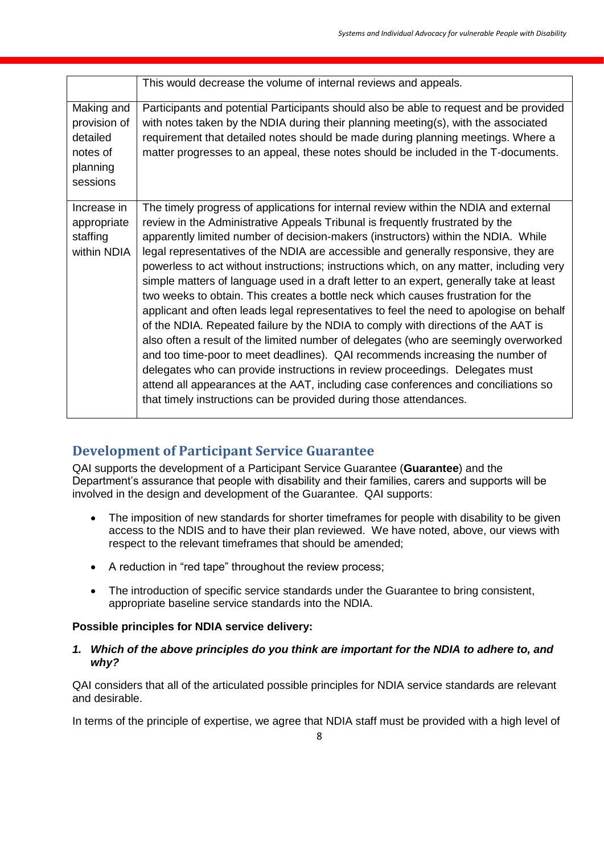|                      | This would decrease the volume of internal reviews and appeals.                                                                                                             |
|----------------------|-----------------------------------------------------------------------------------------------------------------------------------------------------------------------------|
| Making and           | Participants and potential Participants should also be able to request and be provided                                                                                      |
| provision of         | with notes taken by the NDIA during their planning meeting(s), with the associated                                                                                          |
| detailed             | requirement that detailed notes should be made during planning meetings. Where a                                                                                            |
| notes of             | matter progresses to an appeal, these notes should be included in the T-documents.                                                                                          |
| planning<br>sessions |                                                                                                                                                                             |
|                      |                                                                                                                                                                             |
| Increase in          | The timely progress of applications for internal review within the NDIA and external                                                                                        |
| appropriate          | review in the Administrative Appeals Tribunal is frequently frustrated by the                                                                                               |
| staffing             | apparently limited number of decision-makers (instructors) within the NDIA. While                                                                                           |
| within NDIA          | legal representatives of the NDIA are accessible and generally responsive, they are                                                                                         |
|                      | powerless to act without instructions; instructions which, on any matter, including very                                                                                    |
|                      | simple matters of language used in a draft letter to an expert, generally take at least                                                                                     |
|                      | two weeks to obtain. This creates a bottle neck which causes frustration for the<br>applicant and often leads legal representatives to feel the need to apologise on behalf |
|                      | of the NDIA. Repeated failure by the NDIA to comply with directions of the AAT is                                                                                           |
|                      | also often a result of the limited number of delegates (who are seemingly overworked                                                                                        |
|                      | and too time-poor to meet deadlines). QAI recommends increasing the number of                                                                                               |
|                      | delegates who can provide instructions in review proceedings. Delegates must                                                                                                |
|                      | attend all appearances at the AAT, including case conferences and conciliations so                                                                                          |
|                      | that timely instructions can be provided during those attendances.                                                                                                          |
|                      |                                                                                                                                                                             |

# **Development of Participant Service Guarantee**

QAI supports the development of a Participant Service Guarantee (**Guarantee**) and the Department's assurance that people with disability and their families, carers and supports will be involved in the design and development of the Guarantee. QAI supports:

- The imposition of new standards for shorter timeframes for people with disability to be given access to the NDIS and to have their plan reviewed. We have noted, above, our views with respect to the relevant timeframes that should be amended;
- A reduction in "red tape" throughout the review process;
- The introduction of specific service standards under the Guarantee to bring consistent, appropriate baseline service standards into the NDIA.

# **Possible principles for NDIA service delivery:**

#### *1. Which of the above principles do you think are important for the NDIA to adhere to, and why?*

QAI considers that all of the articulated possible principles for NDIA service standards are relevant and desirable.

In terms of the principle of expertise, we agree that NDIA staff must be provided with a high level of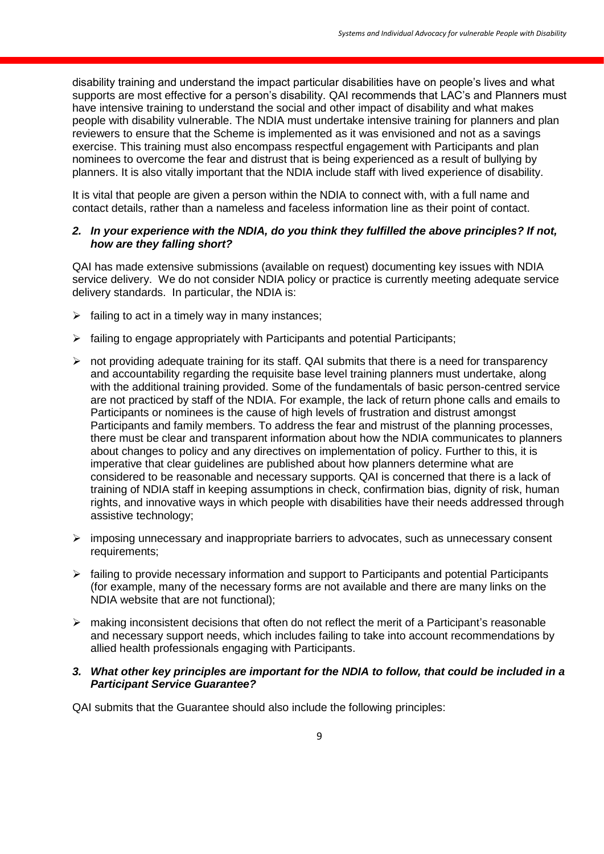disability training and understand the impact particular disabilities have on people's lives and what supports are most effective for a person's disability. QAI recommends that LAC's and Planners must have intensive training to understand the social and other impact of disability and what makes people with disability vulnerable. The NDIA must undertake intensive training for planners and plan reviewers to ensure that the Scheme is implemented as it was envisioned and not as a savings exercise. This training must also encompass respectful engagement with Participants and plan nominees to overcome the fear and distrust that is being experienced as a result of bullying by planners. It is also vitally important that the NDIA include staff with lived experience of disability.

It is vital that people are given a person within the NDIA to connect with, with a full name and contact details, rather than a nameless and faceless information line as their point of contact.

#### *2. In your experience with the NDIA, do you think they fulfilled the above principles? If not, how are they falling short?*

QAI has made extensive submissions (available on request) documenting key issues with NDIA service delivery. We do not consider NDIA policy or practice is currently meeting adequate service delivery standards. In particular, the NDIA is:

- $\triangleright$  failing to act in a timely way in many instances;
- $\triangleright$  failing to engage appropriately with Participants and potential Participants;
- $\triangleright$  not providing adequate training for its staff. QAI submits that there is a need for transparency and accountability regarding the requisite base level training planners must undertake, along with the additional training provided. Some of the fundamentals of basic person-centred service are not practiced by staff of the NDIA. For example, the lack of return phone calls and emails to Participants or nominees is the cause of high levels of frustration and distrust amongst Participants and family members. To address the fear and mistrust of the planning processes, there must be clear and transparent information about how the NDIA communicates to planners about changes to policy and any directives on implementation of policy. Further to this, it is imperative that clear guidelines are published about how planners determine what are considered to be reasonable and necessary supports. QAI is concerned that there is a lack of training of NDIA staff in keeping assumptions in check, confirmation bias, dignity of risk, human rights, and innovative ways in which people with disabilities have their needs addressed through assistive technology;
- $\triangleright$  imposing unnecessary and inappropriate barriers to advocates, such as unnecessary consent requirements;
- $\triangleright$  failing to provide necessary information and support to Participants and potential Participants (for example, many of the necessary forms are not available and there are many links on the NDIA website that are not functional);
- $\triangleright$  making inconsistent decisions that often do not reflect the merit of a Participant's reasonable and necessary support needs, which includes failing to take into account recommendations by allied health professionals engaging with Participants.

#### *3. What other key principles are important for the NDIA to follow, that could be included in a Participant Service Guarantee?*

QAI submits that the Guarantee should also include the following principles: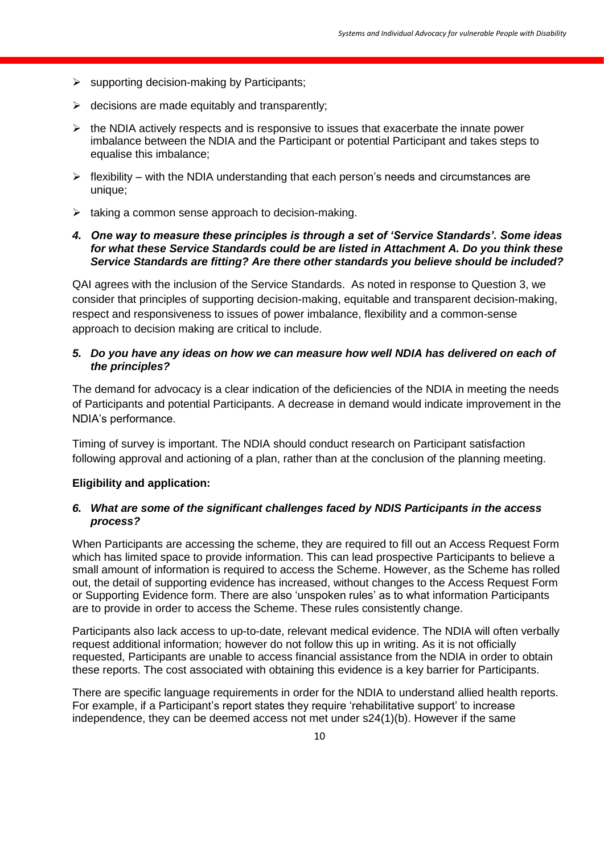- $\triangleright$  supporting decision-making by Participants;
- $\triangleright$  decisions are made equitably and transparently;
- $\triangleright$  the NDIA actively respects and is responsive to issues that exacerbate the innate power imbalance between the NDIA and the Participant or potential Participant and takes steps to equalise this imbalance;
- $\triangleright$  flexibility with the NDIA understanding that each person's needs and circumstances are unique;
- $\triangleright$  taking a common sense approach to decision-making.

#### *4. One way to measure these principles is through a set of 'Service Standards'. Some ideas for what these Service Standards could be are listed in Attachment A. Do you think these Service Standards are fitting? Are there other standards you believe should be included?*

QAI agrees with the inclusion of the Service Standards. As noted in response to Question 3, we consider that principles of supporting decision-making, equitable and transparent decision-making, respect and responsiveness to issues of power imbalance, flexibility and a common-sense approach to decision making are critical to include.

# *5. Do you have any ideas on how we can measure how well NDIA has delivered on each of the principles?*

The demand for advocacy is a clear indication of the deficiencies of the NDIA in meeting the needs of Participants and potential Participants. A decrease in demand would indicate improvement in the NDIA's performance.

Timing of survey is important. The NDIA should conduct research on Participant satisfaction following approval and actioning of a plan, rather than at the conclusion of the planning meeting.

# **Eligibility and application:**

# *6. What are some of the significant challenges faced by NDIS Participants in the access process?*

When Participants are accessing the scheme, they are required to fill out an Access Request Form which has limited space to provide information. This can lead prospective Participants to believe a small amount of information is required to access the Scheme. However, as the Scheme has rolled out, the detail of supporting evidence has increased, without changes to the Access Request Form or Supporting Evidence form. There are also 'unspoken rules' as to what information Participants are to provide in order to access the Scheme. These rules consistently change.

Participants also lack access to up-to-date, relevant medical evidence. The NDIA will often verbally request additional information; however do not follow this up in writing. As it is not officially requested, Participants are unable to access financial assistance from the NDIA in order to obtain these reports. The cost associated with obtaining this evidence is a key barrier for Participants.

There are specific language requirements in order for the NDIA to understand allied health reports. For example, if a Participant's report states they require 'rehabilitative support' to increase independence, they can be deemed access not met under s24(1)(b). However if the same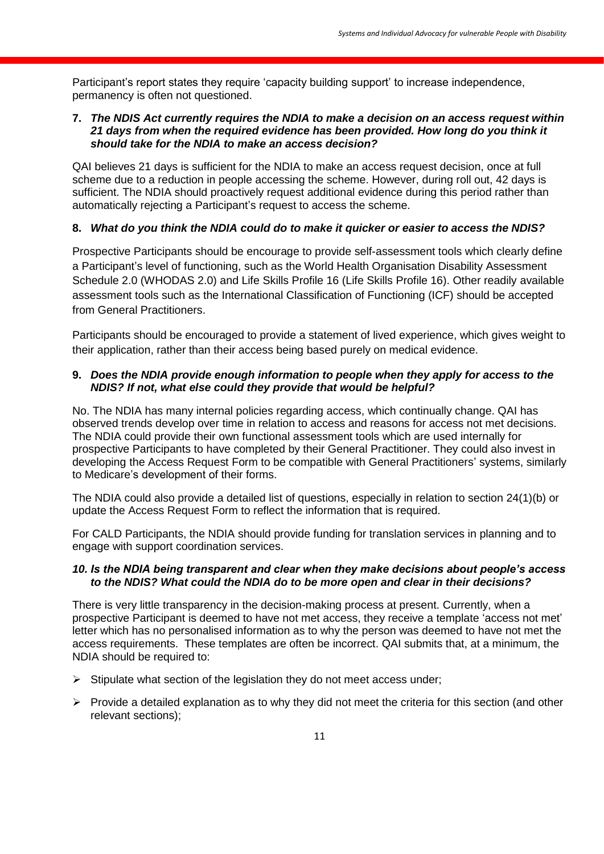Participant's report states they require 'capacity building support' to increase independence, permanency is often not questioned.

#### **7.** *The NDIS Act currently requires the NDIA to make a decision on an access request within 21 days from when the required evidence has been provided. How long do you think it should take for the NDIA to make an access decision?*

QAI believes 21 days is sufficient for the NDIA to make an access request decision, once at full scheme due to a reduction in people accessing the scheme. However, during roll out, 42 days is sufficient. The NDIA should proactively request additional evidence during this period rather than automatically rejecting a Participant's request to access the scheme.

# **8.** *What do you think the NDIA could do to make it quicker or easier to access the NDIS?*

Prospective Participants should be encourage to provide self-assessment tools which clearly define a Participant's level of functioning, such as the World Health Organisation Disability Assessment Schedule 2.0 (WHODAS 2.0) and Life Skills Profile 16 (Life Skills Profile 16). Other readily available assessment tools such as the International Classification of Functioning (ICF) should be accepted from General Practitioners.

Participants should be encouraged to provide a statement of lived experience, which gives weight to their application, rather than their access being based purely on medical evidence.

# **9.** *Does the NDIA provide enough information to people when they apply for access to the NDIS? If not, what else could they provide that would be helpful?*

No. The NDIA has many internal policies regarding access, which continually change. QAI has observed trends develop over time in relation to access and reasons for access not met decisions. The NDIA could provide their own functional assessment tools which are used internally for prospective Participants to have completed by their General Practitioner. They could also invest in developing the Access Request Form to be compatible with General Practitioners' systems, similarly to Medicare's development of their forms.

The NDIA could also provide a detailed list of questions, especially in relation to section 24(1)(b) or update the Access Request Form to reflect the information that is required.

For CALD Participants, the NDIA should provide funding for translation services in planning and to engage with support coordination services.

#### *10. Is the NDIA being transparent and clear when they make decisions about people's access to the NDIS? What could the NDIA do to be more open and clear in their decisions?*

There is very little transparency in the decision-making process at present. Currently, when a prospective Participant is deemed to have not met access, they receive a template 'access not met' letter which has no personalised information as to why the person was deemed to have not met the access requirements. These templates are often be incorrect. QAI submits that, at a minimum, the NDIA should be required to:

- $\triangleright$  Stipulate what section of the legislation they do not meet access under;
- $\triangleright$  Provide a detailed explanation as to why they did not meet the criteria for this section (and other relevant sections);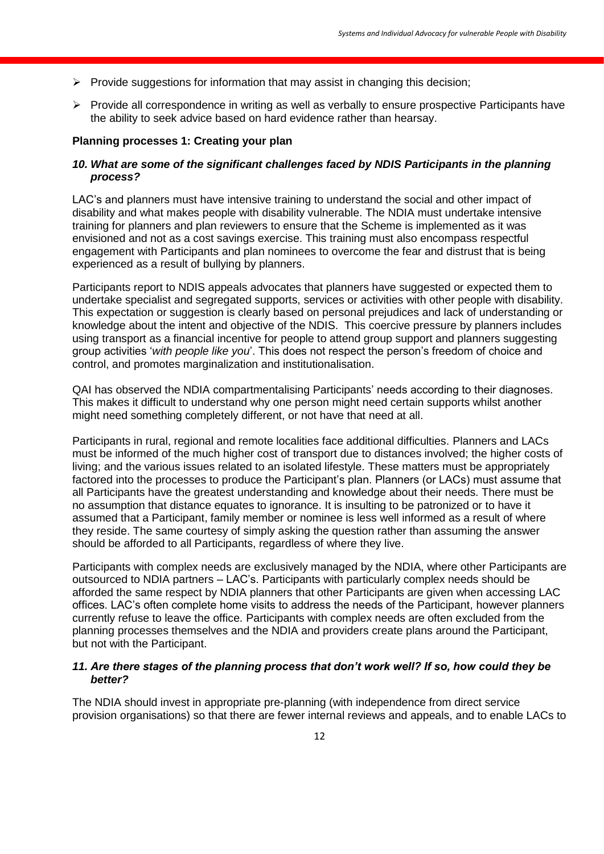- $\triangleright$  Provide suggestions for information that may assist in changing this decision;
- $\triangleright$  Provide all correspondence in writing as well as verbally to ensure prospective Participants have the ability to seek advice based on hard evidence rather than hearsay.

#### **Planning processes 1: Creating your plan**

# *10. What are some of the significant challenges faced by NDIS Participants in the planning process?*

LAC's and planners must have intensive training to understand the social and other impact of disability and what makes people with disability vulnerable. The NDIA must undertake intensive training for planners and plan reviewers to ensure that the Scheme is implemented as it was envisioned and not as a cost savings exercise. This training must also encompass respectful engagement with Participants and plan nominees to overcome the fear and distrust that is being experienced as a result of bullying by planners.

Participants report to NDIS appeals advocates that planners have suggested or expected them to undertake specialist and segregated supports, services or activities with other people with disability. This expectation or suggestion is clearly based on personal prejudices and lack of understanding or knowledge about the intent and objective of the NDIS. This coercive pressure by planners includes using transport as a financial incentive for people to attend group support and planners suggesting group activities '*with people like you*'. This does not respect the person's freedom of choice and control, and promotes marginalization and institutionalisation.

QAI has observed the NDIA compartmentalising Participants' needs according to their diagnoses. This makes it difficult to understand why one person might need certain supports whilst another might need something completely different, or not have that need at all.

Participants in rural, regional and remote localities face additional difficulties. Planners and LACs must be informed of the much higher cost of transport due to distances involved; the higher costs of living; and the various issues related to an isolated lifestyle. These matters must be appropriately factored into the processes to produce the Participant's plan. Planners (or LACs) must assume that all Participants have the greatest understanding and knowledge about their needs. There must be no assumption that distance equates to ignorance. It is insulting to be patronized or to have it assumed that a Participant, family member or nominee is less well informed as a result of where they reside. The same courtesy of simply asking the question rather than assuming the answer should be afforded to all Participants, regardless of where they live.

Participants with complex needs are exclusively managed by the NDIA, where other Participants are outsourced to NDIA partners – LAC's. Participants with particularly complex needs should be afforded the same respect by NDIA planners that other Participants are given when accessing LAC offices. LAC's often complete home visits to address the needs of the Participant, however planners currently refuse to leave the office. Participants with complex needs are often excluded from the planning processes themselves and the NDIA and providers create plans around the Participant, but not with the Participant.

#### *11. Are there stages of the planning process that don't work well? If so, how could they be better?*

The NDIA should invest in appropriate pre-planning (with independence from direct service provision organisations) so that there are fewer internal reviews and appeals, and to enable LACs to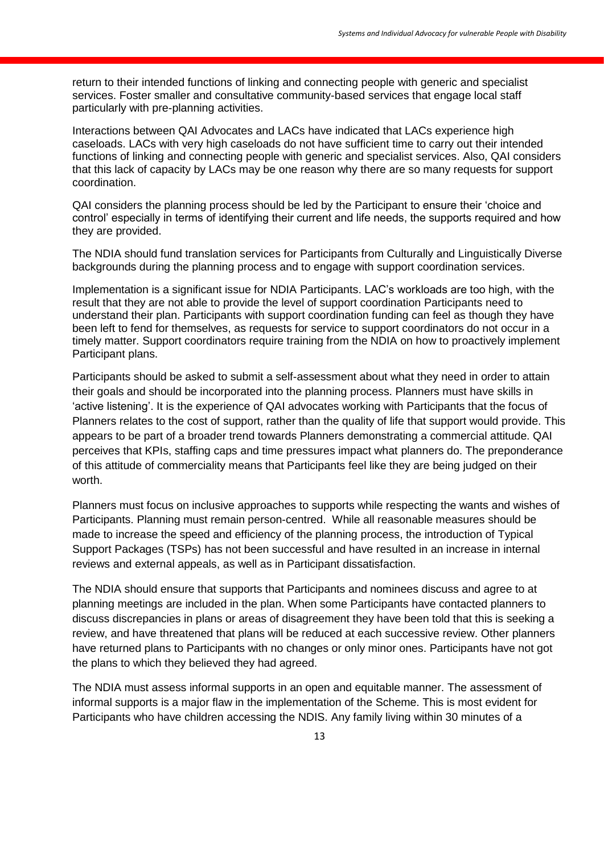return to their intended functions of linking and connecting people with generic and specialist services. Foster smaller and consultative community-based services that engage local staff particularly with pre-planning activities.

Interactions between QAI Advocates and LACs have indicated that LACs experience high caseloads. LACs with very high caseloads do not have sufficient time to carry out their intended functions of linking and connecting people with generic and specialist services. Also, QAI considers that this lack of capacity by LACs may be one reason why there are so many requests for support coordination.

QAI considers the planning process should be led by the Participant to ensure their 'choice and control' especially in terms of identifying their current and life needs, the supports required and how they are provided.

The NDIA should fund translation services for Participants from Culturally and Linguistically Diverse backgrounds during the planning process and to engage with support coordination services.

Implementation is a significant issue for NDIA Participants. LAC's workloads are too high, with the result that they are not able to provide the level of support coordination Participants need to understand their plan. Participants with support coordination funding can feel as though they have been left to fend for themselves, as requests for service to support coordinators do not occur in a timely matter. Support coordinators require training from the NDIA on how to proactively implement Participant plans.

Participants should be asked to submit a self-assessment about what they need in order to attain their goals and should be incorporated into the planning process. Planners must have skills in 'active listening'. It is the experience of QAI advocates working with Participants that the focus of Planners relates to the cost of support, rather than the quality of life that support would provide. This appears to be part of a broader trend towards Planners demonstrating a commercial attitude. QAI perceives that KPIs, staffing caps and time pressures impact what planners do. The preponderance of this attitude of commerciality means that Participants feel like they are being judged on their worth.

Planners must focus on inclusive approaches to supports while respecting the wants and wishes of Participants. Planning must remain person-centred. While all reasonable measures should be made to increase the speed and efficiency of the planning process, the introduction of Typical Support Packages (TSPs) has not been successful and have resulted in an increase in internal reviews and external appeals, as well as in Participant dissatisfaction.

The NDIA should ensure that supports that Participants and nominees discuss and agree to at planning meetings are included in the plan. When some Participants have contacted planners to discuss discrepancies in plans or areas of disagreement they have been told that this is seeking a review, and have threatened that plans will be reduced at each successive review. Other planners have returned plans to Participants with no changes or only minor ones. Participants have not got the plans to which they believed they had agreed.

The NDIA must assess informal supports in an open and equitable manner. The assessment of informal supports is a major flaw in the implementation of the Scheme. This is most evident for Participants who have children accessing the NDIS. Any family living within 30 minutes of a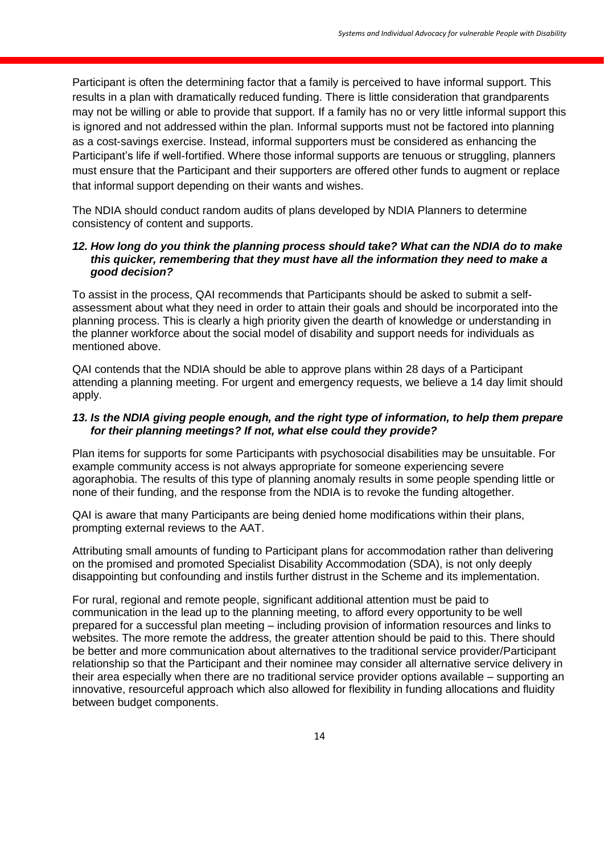Participant is often the determining factor that a family is perceived to have informal support. This results in a plan with dramatically reduced funding. There is little consideration that grandparents may not be willing or able to provide that support. If a family has no or very little informal support this is ignored and not addressed within the plan. Informal supports must not be factored into planning as a cost-savings exercise. Instead, informal supporters must be considered as enhancing the Participant's life if well-fortified. Where those informal supports are tenuous or struggling, planners must ensure that the Participant and their supporters are offered other funds to augment or replace that informal support depending on their wants and wishes.

The NDIA should conduct random audits of plans developed by NDIA Planners to determine consistency of content and supports.

### *12. How long do you think the planning process should take? What can the NDIA do to make this quicker, remembering that they must have all the information they need to make a good decision?*

To assist in the process, QAI recommends that Participants should be asked to submit a selfassessment about what they need in order to attain their goals and should be incorporated into the planning process. This is clearly a high priority given the dearth of knowledge or understanding in the planner workforce about the social model of disability and support needs for individuals as mentioned above.

QAI contends that the NDIA should be able to approve plans within 28 days of a Participant attending a planning meeting. For urgent and emergency requests, we believe a 14 day limit should apply.

# *13. Is the NDIA giving people enough, and the right type of information, to help them prepare for their planning meetings? If not, what else could they provide?*

Plan items for supports for some Participants with psychosocial disabilities may be unsuitable. For example community access is not always appropriate for someone experiencing severe agoraphobia. The results of this type of planning anomaly results in some people spending little or none of their funding, and the response from the NDIA is to revoke the funding altogether.

QAI is aware that many Participants are being denied home modifications within their plans, prompting external reviews to the AAT.

Attributing small amounts of funding to Participant plans for accommodation rather than delivering on the promised and promoted Specialist Disability Accommodation (SDA), is not only deeply disappointing but confounding and instils further distrust in the Scheme and its implementation.

For rural, regional and remote people, significant additional attention must be paid to communication in the lead up to the planning meeting, to afford every opportunity to be well prepared for a successful plan meeting – including provision of information resources and links to websites. The more remote the address, the greater attention should be paid to this. There should be better and more communication about alternatives to the traditional service provider/Participant relationship so that the Participant and their nominee may consider all alternative service delivery in their area especially when there are no traditional service provider options available – supporting an innovative, resourceful approach which also allowed for flexibility in funding allocations and fluidity between budget components.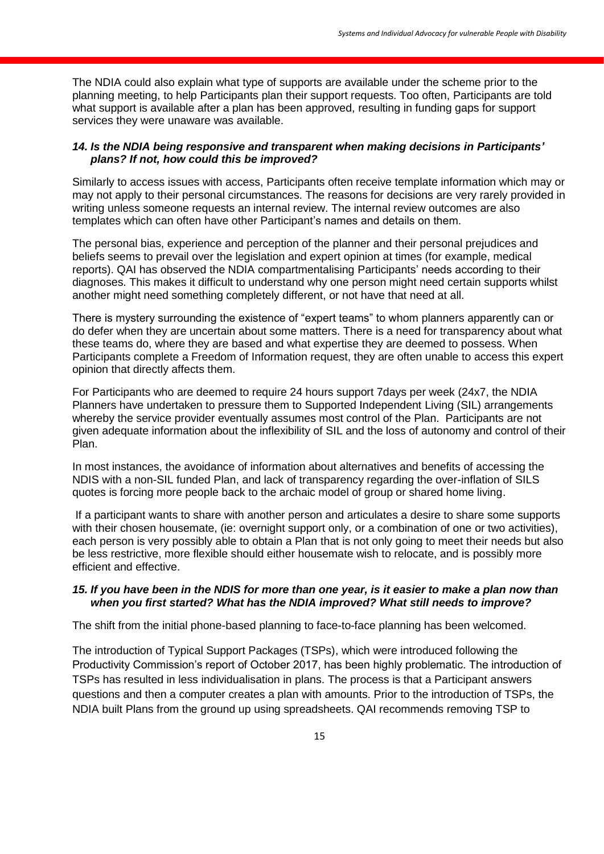The NDIA could also explain what type of supports are available under the scheme prior to the planning meeting, to help Participants plan their support requests. Too often, Participants are told what support is available after a plan has been approved, resulting in funding gaps for support services they were unaware was available.

#### *14. Is the NDIA being responsive and transparent when making decisions in Participants' plans? If not, how could this be improved?*

Similarly to access issues with access, Participants often receive template information which may or may not apply to their personal circumstances. The reasons for decisions are very rarely provided in writing unless someone requests an internal review. The internal review outcomes are also templates which can often have other Participant's names and details on them.

The personal bias, experience and perception of the planner and their personal prejudices and beliefs seems to prevail over the legislation and expert opinion at times (for example, medical reports). QAI has observed the NDIA compartmentalising Participants' needs according to their diagnoses. This makes it difficult to understand why one person might need certain supports whilst another might need something completely different, or not have that need at all.

There is mystery surrounding the existence of "expert teams" to whom planners apparently can or do defer when they are uncertain about some matters. There is a need for transparency about what these teams do, where they are based and what expertise they are deemed to possess. When Participants complete a Freedom of Information request, they are often unable to access this expert opinion that directly affects them.

For Participants who are deemed to require 24 hours support 7days per week (24x7, the NDIA Planners have undertaken to pressure them to Supported Independent Living (SIL) arrangements whereby the service provider eventually assumes most control of the Plan. Participants are not given adequate information about the inflexibility of SIL and the loss of autonomy and control of their Plan.

In most instances, the avoidance of information about alternatives and benefits of accessing the NDIS with a non-SIL funded Plan, and lack of transparency regarding the over-inflation of SILS quotes is forcing more people back to the archaic model of group or shared home living.

If a participant wants to share with another person and articulates a desire to share some supports with their chosen housemate, (ie: overnight support only, or a combination of one or two activities), each person is very possibly able to obtain a Plan that is not only going to meet their needs but also be less restrictive, more flexible should either housemate wish to relocate, and is possibly more efficient and effective.

#### *15. If you have been in the NDIS for more than one year, is it easier to make a plan now than when you first started? What has the NDIA improved? What still needs to improve?*

The shift from the initial phone-based planning to face-to-face planning has been welcomed.

The introduction of Typical Support Packages (TSPs), which were introduced following the Productivity Commission's report of October 2017, has been highly problematic. The introduction of TSPs has resulted in less individualisation in plans. The process is that a Participant answers questions and then a computer creates a plan with amounts. Prior to the introduction of TSPs, the NDIA built Plans from the ground up using spreadsheets. QAI recommends removing TSP to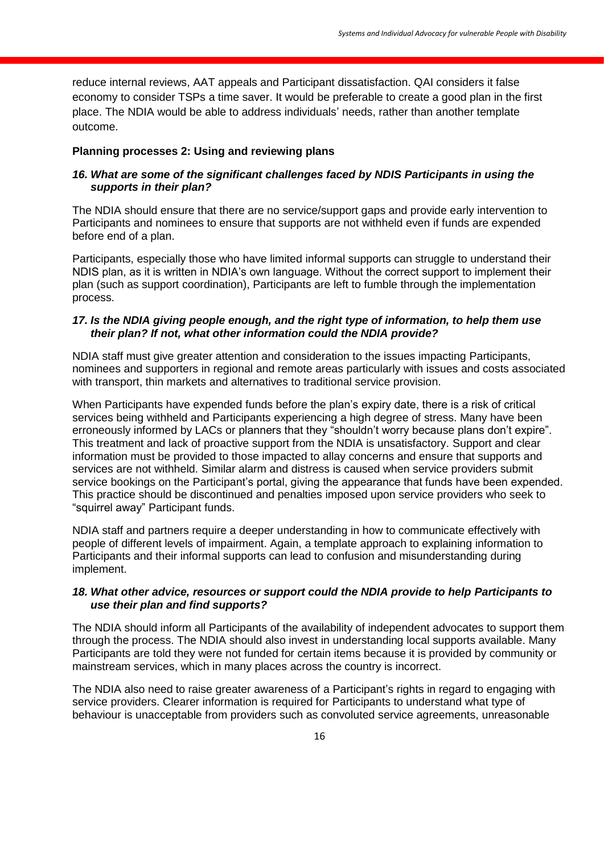reduce internal reviews, AAT appeals and Participant dissatisfaction. QAI considers it false economy to consider TSPs a time saver. It would be preferable to create a good plan in the first place. The NDIA would be able to address individuals' needs, rather than another template outcome.

# **Planning processes 2: Using and reviewing plans**

# *16. What are some of the significant challenges faced by NDIS Participants in using the supports in their plan?*

The NDIA should ensure that there are no service/support gaps and provide early intervention to Participants and nominees to ensure that supports are not withheld even if funds are expended before end of a plan.

Participants, especially those who have limited informal supports can struggle to understand their NDIS plan, as it is written in NDIA's own language. Without the correct support to implement their plan (such as support coordination), Participants are left to fumble through the implementation process.

## *17. Is the NDIA giving people enough, and the right type of information, to help them use their plan? If not, what other information could the NDIA provide?*

NDIA staff must give greater attention and consideration to the issues impacting Participants, nominees and supporters in regional and remote areas particularly with issues and costs associated with transport, thin markets and alternatives to traditional service provision.

When Participants have expended funds before the plan's expiry date, there is a risk of critical services being withheld and Participants experiencing a high degree of stress. Many have been erroneously informed by LACs or planners that they "shouldn't worry because plans don't expire". This treatment and lack of proactive support from the NDIA is unsatisfactory. Support and clear information must be provided to those impacted to allay concerns and ensure that supports and services are not withheld. Similar alarm and distress is caused when service providers submit service bookings on the Participant's portal, giving the appearance that funds have been expended. This practice should be discontinued and penalties imposed upon service providers who seek to "squirrel away" Participant funds.

NDIA staff and partners require a deeper understanding in how to communicate effectively with people of different levels of impairment. Again, a template approach to explaining information to Participants and their informal supports can lead to confusion and misunderstanding during implement.

# *18. What other advice, resources or support could the NDIA provide to help Participants to use their plan and find supports?*

The NDIA should inform all Participants of the availability of independent advocates to support them through the process. The NDIA should also invest in understanding local supports available. Many Participants are told they were not funded for certain items because it is provided by community or mainstream services, which in many places across the country is incorrect.

The NDIA also need to raise greater awareness of a Participant's rights in regard to engaging with service providers. Clearer information is required for Participants to understand what type of behaviour is unacceptable from providers such as convoluted service agreements, unreasonable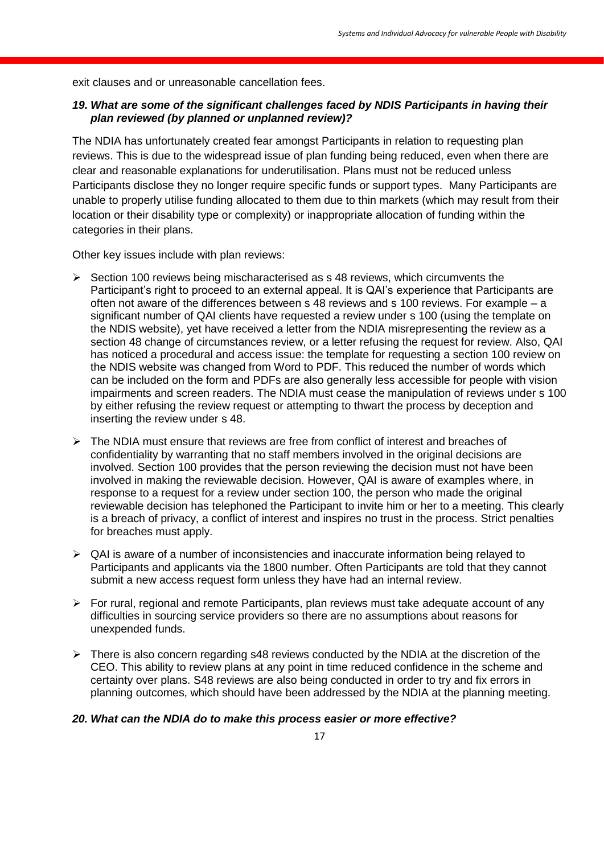exit clauses and or unreasonable cancellation fees.

# *19. What are some of the significant challenges faced by NDIS Participants in having their plan reviewed (by planned or unplanned review)?*

The NDIA has unfortunately created fear amongst Participants in relation to requesting plan reviews. This is due to the widespread issue of plan funding being reduced, even when there are clear and reasonable explanations for underutilisation. Plans must not be reduced unless Participants disclose they no longer require specific funds or support types. Many Participants are unable to properly utilise funding allocated to them due to thin markets (which may result from their location or their disability type or complexity) or inappropriate allocation of funding within the categories in their plans.

Other key issues include with plan reviews:

- $\triangleright$  Section 100 reviews being mischaracterised as s 48 reviews, which circumvents the Participant's right to proceed to an external appeal. It is QAI's experience that Participants are often not aware of the differences between s 48 reviews and s 100 reviews. For example – a significant number of QAI clients have requested a review under s 100 (using the template on the NDIS website), yet have received a letter from the NDIA misrepresenting the review as a section 48 change of circumstances review, or a letter refusing the request for review. Also, QAI has noticed a procedural and access issue: the template for requesting a section 100 review on the NDIS website was changed from Word to PDF. This reduced the number of words which can be included on the form and PDFs are also generally less accessible for people with vision impairments and screen readers. The NDIA must cease the manipulation of reviews under s 100 by either refusing the review request or attempting to thwart the process by deception and inserting the review under s 48.
- $\triangleright$  The NDIA must ensure that reviews are free from conflict of interest and breaches of confidentiality by warranting that no staff members involved in the original decisions are involved. Section 100 provides that the person reviewing the decision must not have been involved in making the reviewable decision. However, QAI is aware of examples where, in response to a request for a review under section 100, the person who made the original reviewable decision has telephoned the Participant to invite him or her to a meeting. This clearly is a breach of privacy, a conflict of interest and inspires no trust in the process. Strict penalties for breaches must apply.
- $\triangleright$  QAI is aware of a number of inconsistencies and inaccurate information being relayed to Participants and applicants via the 1800 number. Often Participants are told that they cannot submit a new access request form unless they have had an internal review.
- $\triangleright$  For rural, regional and remote Participants, plan reviews must take adequate account of any difficulties in sourcing service providers so there are no assumptions about reasons for unexpended funds.
- $\triangleright$  There is also concern regarding s48 reviews conducted by the NDIA at the discretion of the CEO. This ability to review plans at any point in time reduced confidence in the scheme and certainty over plans. S48 reviews are also being conducted in order to try and fix errors in planning outcomes, which should have been addressed by the NDIA at the planning meeting.

#### *20. What can the NDIA do to make this process easier or more effective?*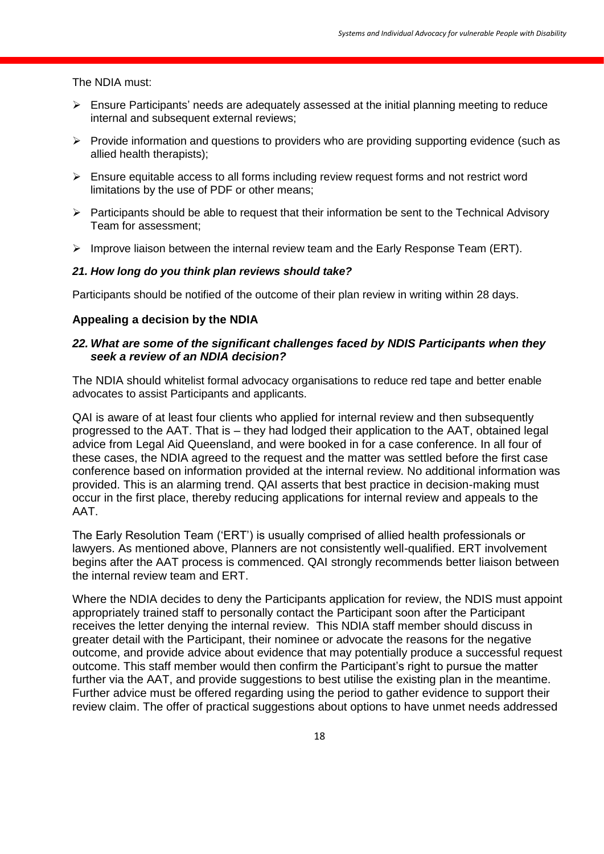The NDIA must:

- $\triangleright$  Ensure Participants' needs are adequately assessed at the initial planning meeting to reduce internal and subsequent external reviews;
- $\triangleright$  Provide information and questions to providers who are providing supporting evidence (such as allied health therapists);
- $\triangleright$  Ensure equitable access to all forms including review request forms and not restrict word limitations by the use of PDF or other means;
- $\triangleright$  Participants should be able to request that their information be sent to the Technical Advisory Team for assessment;
- $\triangleright$  Improve liaison between the internal review team and the Early Response Team (ERT).

#### *21. How long do you think plan reviews should take?*

Participants should be notified of the outcome of their plan review in writing within 28 days.

#### **Appealing a decision by the NDIA**

# *22. What are some of the significant challenges faced by NDIS Participants when they seek a review of an NDIA decision?*

The NDIA should whitelist formal advocacy organisations to reduce red tape and better enable advocates to assist Participants and applicants.

QAI is aware of at least four clients who applied for internal review and then subsequently progressed to the AAT. That is – they had lodged their application to the AAT, obtained legal advice from Legal Aid Queensland, and were booked in for a case conference. In all four of these cases, the NDIA agreed to the request and the matter was settled before the first case conference based on information provided at the internal review. No additional information was provided. This is an alarming trend. QAI asserts that best practice in decision-making must occur in the first place, thereby reducing applications for internal review and appeals to the AAT.

The Early Resolution Team ('ERT') is usually comprised of allied health professionals or lawyers. As mentioned above, Planners are not consistently well-qualified. ERT involvement begins after the AAT process is commenced. QAI strongly recommends better liaison between the internal review team and ERT.

Where the NDIA decides to deny the Participants application for review, the NDIS must appoint appropriately trained staff to personally contact the Participant soon after the Participant receives the letter denying the internal review. This NDIA staff member should discuss in greater detail with the Participant, their nominee or advocate the reasons for the negative outcome, and provide advice about evidence that may potentially produce a successful request outcome. This staff member would then confirm the Participant's right to pursue the matter further via the AAT, and provide suggestions to best utilise the existing plan in the meantime. Further advice must be offered regarding using the period to gather evidence to support their review claim. The offer of practical suggestions about options to have unmet needs addressed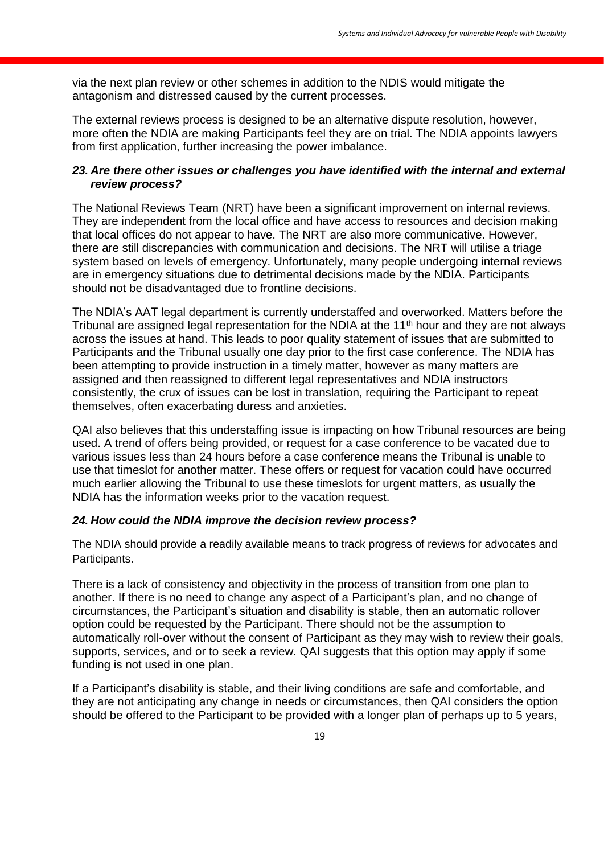via the next plan review or other schemes in addition to the NDIS would mitigate the antagonism and distressed caused by the current processes.

The external reviews process is designed to be an alternative dispute resolution, however, more often the NDIA are making Participants feel they are on trial. The NDIA appoints lawyers from first application, further increasing the power imbalance.

# *23. Are there other issues or challenges you have identified with the internal and external review process?*

The National Reviews Team (NRT) have been a significant improvement on internal reviews. They are independent from the local office and have access to resources and decision making that local offices do not appear to have. The NRT are also more communicative. However, there are still discrepancies with communication and decisions. The NRT will utilise a triage system based on levels of emergency. Unfortunately, many people undergoing internal reviews are in emergency situations due to detrimental decisions made by the NDIA. Participants should not be disadvantaged due to frontline decisions.

The NDIA's AAT legal department is currently understaffed and overworked. Matters before the Tribunal are assigned legal representation for the NDIA at the 11<sup>th</sup> hour and they are not always across the issues at hand. This leads to poor quality statement of issues that are submitted to Participants and the Tribunal usually one day prior to the first case conference. The NDIA has been attempting to provide instruction in a timely matter, however as many matters are assigned and then reassigned to different legal representatives and NDIA instructors consistently, the crux of issues can be lost in translation, requiring the Participant to repeat themselves, often exacerbating duress and anxieties.

QAI also believes that this understaffing issue is impacting on how Tribunal resources are being used. A trend of offers being provided, or request for a case conference to be vacated due to various issues less than 24 hours before a case conference means the Tribunal is unable to use that timeslot for another matter. These offers or request for vacation could have occurred much earlier allowing the Tribunal to use these timeslots for urgent matters, as usually the NDIA has the information weeks prior to the vacation request.

# *24. How could the NDIA improve the decision review process?*

The NDIA should provide a readily available means to track progress of reviews for advocates and Participants.

There is a lack of consistency and objectivity in the process of transition from one plan to another. If there is no need to change any aspect of a Participant's plan, and no change of circumstances, the Participant's situation and disability is stable, then an automatic rollover option could be requested by the Participant. There should not be the assumption to automatically roll-over without the consent of Participant as they may wish to review their goals, supports, services, and or to seek a review. QAI suggests that this option may apply if some funding is not used in one plan.

If a Participant's disability is stable, and their living conditions are safe and comfortable, and they are not anticipating any change in needs or circumstances, then QAI considers the option should be offered to the Participant to be provided with a longer plan of perhaps up to 5 years,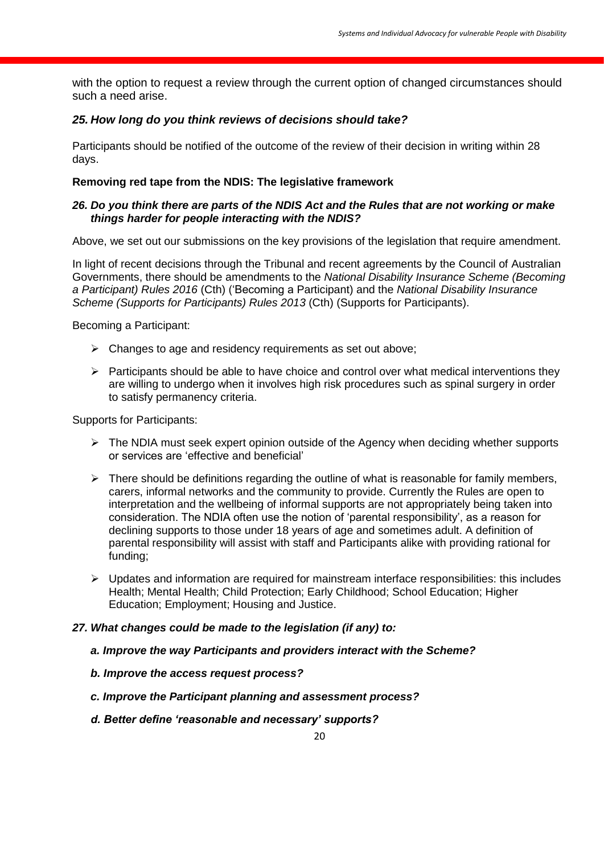with the option to request a review through the current option of changed circumstances should such a need arise.

# *25. How long do you think reviews of decisions should take?*

Participants should be notified of the outcome of the review of their decision in writing within 28 days.

# **Removing red tape from the NDIS: The legislative framework**

# *26. Do you think there are parts of the NDIS Act and the Rules that are not working or make things harder for people interacting with the NDIS?*

Above, we set out our submissions on the key provisions of the legislation that require amendment.

In light of recent decisions through the Tribunal and recent agreements by the Council of Australian Governments, there should be amendments to the *National Disability Insurance Scheme (Becoming a Participant) Rules 2016* (Cth) ('Becoming a Participant) and the *National Disability Insurance Scheme (Supports for Participants) Rules 2013* (Cth) (Supports for Participants).

Becoming a Participant:

- $\triangleright$  Changes to age and residency requirements as set out above;
- $\triangleright$  Participants should be able to have choice and control over what medical interventions they are willing to undergo when it involves high risk procedures such as spinal surgery in order to satisfy permanency criteria.

Supports for Participants:

- $\triangleright$  The NDIA must seek expert opinion outside of the Agency when deciding whether supports or services are 'effective and beneficial'
- $\triangleright$  There should be definitions regarding the outline of what is reasonable for family members, carers, informal networks and the community to provide. Currently the Rules are open to interpretation and the wellbeing of informal supports are not appropriately being taken into consideration. The NDIA often use the notion of 'parental responsibility', as a reason for declining supports to those under 18 years of age and sometimes adult. A definition of parental responsibility will assist with staff and Participants alike with providing rational for funding;
- $\triangleright$  Updates and information are required for mainstream interface responsibilities: this includes Health; Mental Health; Child Protection; Early Childhood; School Education; Higher Education; Employment; Housing and Justice.

# *27. What changes could be made to the legislation (if any) to:*

- *a. Improve the way Participants and providers interact with the Scheme?*
- *b. Improve the access request process?*
- *c. Improve the Participant planning and assessment process?*
- *d. Better define 'reasonable and necessary' supports?*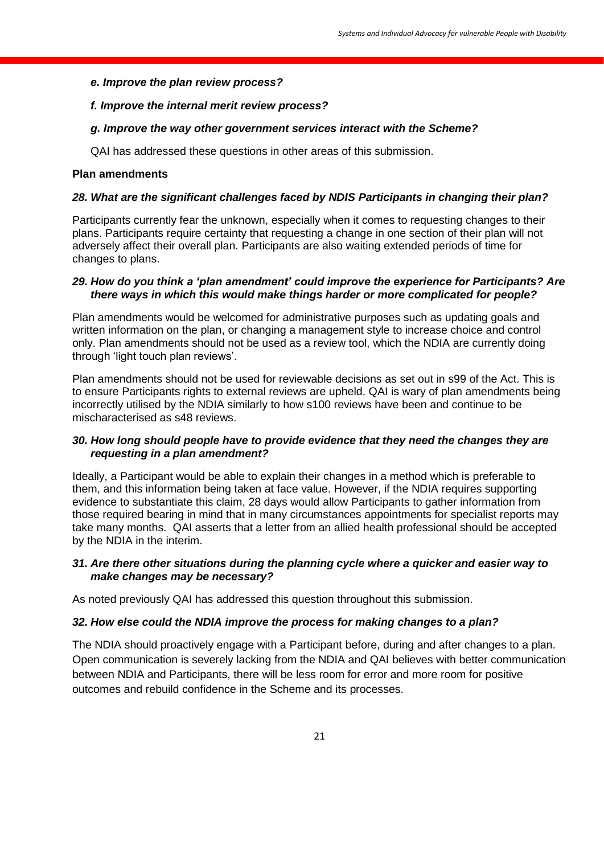#### *e. Improve the plan review process?*

#### *f. Improve the internal merit review process?*

#### *g. Improve the way other government services interact with the Scheme?*

QAI has addressed these questions in other areas of this submission.

#### **Plan amendments**

#### *28. What are the significant challenges faced by NDIS Participants in changing their plan?*

Participants currently fear the unknown, especially when it comes to requesting changes to their plans. Participants require certainty that requesting a change in one section of their plan will not adversely affect their overall plan. Participants are also waiting extended periods of time for changes to plans.

#### *29. How do you think a 'plan amendment' could improve the experience for Participants? Are there ways in which this would make things harder or more complicated for people?*

Plan amendments would be welcomed for administrative purposes such as updating goals and written information on the plan, or changing a management style to increase choice and control only. Plan amendments should not be used as a review tool, which the NDIA are currently doing through 'light touch plan reviews'.

Plan amendments should not be used for reviewable decisions as set out in s99 of the Act. This is to ensure Participants rights to external reviews are upheld. QAI is wary of plan amendments being incorrectly utilised by the NDIA similarly to how s100 reviews have been and continue to be mischaracterised as s48 reviews.

#### *30. How long should people have to provide evidence that they need the changes they are requesting in a plan amendment?*

Ideally, a Participant would be able to explain their changes in a method which is preferable to them, and this information being taken at face value. However, if the NDIA requires supporting evidence to substantiate this claim, 28 days would allow Participants to gather information from those required bearing in mind that in many circumstances appointments for specialist reports may take many months. QAI asserts that a letter from an allied health professional should be accepted by the NDIA in the interim.

### *31. Are there other situations during the planning cycle where a quicker and easier way to make changes may be necessary?*

As noted previously QAI has addressed this question throughout this submission.

#### *32. How else could the NDIA improve the process for making changes to a plan?*

The NDIA should proactively engage with a Participant before, during and after changes to a plan. Open communication is severely lacking from the NDIA and QAI believes with better communication between NDIA and Participants, there will be less room for error and more room for positive outcomes and rebuild confidence in the Scheme and its processes.